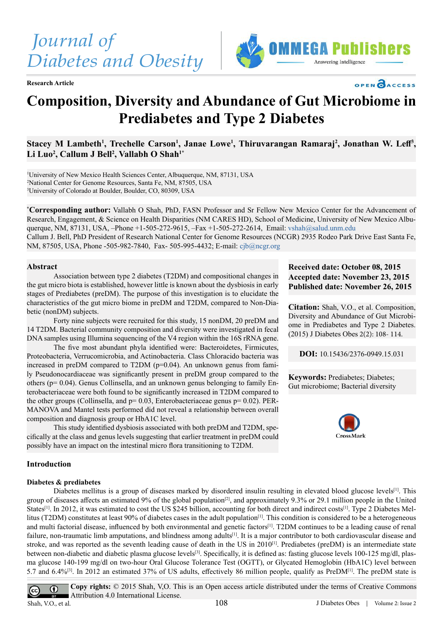

**Research Article**





# **Composition, Diversity and Abundance of Gut Microbiome in Prediabetes and Type 2 Diabetes**

Stacey M Lambeth<sup>1</sup>, Trechelle Carson<sup>1</sup>, Janae Lowe<sup>1</sup>, Thiruvarangan Ramaraj<sup>2</sup>, Jonathan W. Leff<sup>3</sup>, **Li Luo2 , Callum J Bell2 , Vallabh O Shah1\***

1 University of New Mexico Health Sciences Center, Albuquerque, NM, 87131, USA 2 National Center for Genome Resources, Santa Fe, NM, 87505, USA 3 University of Colorado at Boulder, Boulder, CO, 80309, USA

**\* Corresponding author:** Vallabh O Shah, PhD, FASN Professor and Sr Fellow New Mexico Center for the Advancement of Research, Engagement, & Science on Health Disparities (NM CARES HD), School of Medicine, University of New Mexico Albuquerque, NM, 87131, USA, –Phone +1-505-272-9615, –Fax +1-505-272-2614, Email: [vshah@salud.unm.edu](mailto:vshah%40salud.unm.edu%20?subject=)

Callum J. Bell, PhD President of Research National Center for Genome Resources (NCGR) 2935 Rodeo Park Drive East Santa Fe, NM, 87505, USA, Phone -505-982-7840, Fax- 505-995-4432; E-mail: cjb@ncgr.org

#### **Abstract**

Association between type 2 diabetes (T2DM) and compositional changes in the gut micro biota is established, however little is known about the dysbiosis in early stages of Prediabetes (preDM). The purpose of this investigation is to elucidate the characteristics of the gut micro biome in preDM and T2DM, compared to Non-Diabetic (nonDM) subjects.

Forty nine subjects were recruited for this study, 15 nonDM, 20 preDM and 14 T2DM. Bacterial community composition and diversity were investigated in fecal DNA samples using Illumina sequencing of the V4 region within the 16S rRNA gene.

 The five most abundant phyla identified were: Bacteroidetes, Firmicutes, Proteobacteria, Verrucomicrobia, and Actinobacteria. Class Chloracido bacteria was increased in preDM compared to T2DM ( $p=0.04$ ). An unknown genus from family Pseudonocardiaceae was significantly present in preDM group compared to the others (p= 0.04). Genus Collinsella, and an unknown genus belonging to family Enterobacteriaceae were both found to be significantly increased in T2DM compared to the other groups (Collinsella, and  $p= 0.03$ , Enterobacteriaceae genus  $p= 0.02$ ). PER-MANOVA and Mantel tests performed did not reveal a relationship between overall composition and diagnosis group or HbA1C level.

 This study identified dysbiosis associated with both preDM and T2DM, specifically at the class and genus levels suggesting that earlier treatment in preDM could possibly have an impact on the intestinal micro flora transitioning to T2DM.

## **Received date: October 08, 2015 Accepted date: November 23, 2015 Published date: November 26, 2015**

**Citation:** Shah, V.O., et al. Composition, Diversity and Abundance of Gut Microbiome in Prediabetes and Type 2 Diabetes. (2015) J Diabetes Obes 2(2): 108- 114.

**DOI:** 10.15436/2376-0949.15.031

**Keywords:** Prediabetes; Diabetes; Gut microbiome; Bacterial diversity



## **Introduction**

#### **Diabetes & prediabetes**

Diabetes mellitus is a group of diseases marked by disordered insulin resulting in elevated blood glucose levels<sup>[1]</sup>. This group of diseases affects an estimated 9% of the global population<sup>[\[2\]](#page-5-1)</sup>, and approximately 9.3% or 29.1 million people in the United States<sup>[1]</sup>. In 2012, it was estimated to cost the US \$245 billion, accounting for both direct and indirect costs<sup>[1]</sup>. Type 2 Diabetes Mel-litus (T2DM) constitutes at least 90% of diabetes cases in the adult population<sup>[\[1\]](#page-5-0)</sup>. This condition is considered to be a heterogeneous and multi factorial disease, influenced by both environmental and genetic factors<sup>[1]</sup>. T2DM continues to be a leading cause of renal failure, non-traumatic limb amputations, and blindness among adults<sup>[1]</sup>. It is a major contributor to both cardiovascular disease and stroke, and was reported as the seventh leading cause of death in the US in 2010[\[1\]](#page-5-0). Prediabetes (preDM) is an intermediate state between non-diabetic and diabetic plasma glucose level[s\[3\]](#page-5-2). Specifically, it is defined as: fasting glucose levels 100-125 mg/dl, plasma glucose 140-199 mg/dl on two-hour Oral Glucose Tolerance Test (OGTT), or Glycated Hemoglobin (HbA1C) level between 5.7 and 6.4%[\[3\]](#page-5-2). In 2012 an estimated 37% of US adults, effectively 86 million people, qualify as PreDM[\[1\]](#page-5-0). The preDM state is

**Copy rights:** © 2015 Shah, V,O. This is an Open access article distributed under the terms of Creative Commons  $^{\circ}$  $\overline{cc}$ Attribution 4.0 International License. Shah, V.O., et al. 108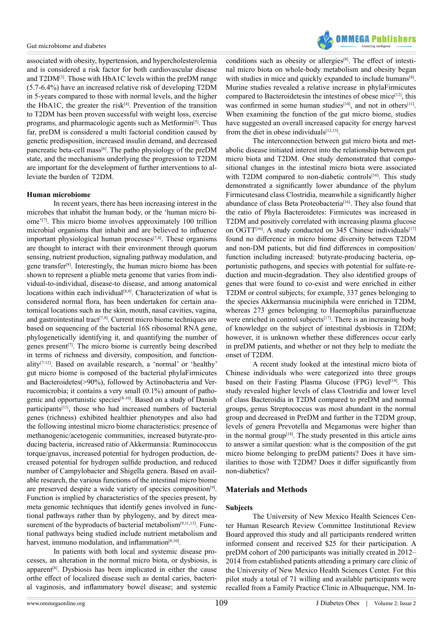

associated with obesity, hypertension, and hypercholesterolemia and is considered a risk factor for both cardiovascular disease and T2DM[\[3\]](#page-5-2). Those with HbA1C levels within the preDM range (5.7-6.4%) have an increased relative risk of developing T2DM in 5-years compared to those with normal levels, and the higher the HbA1C, the greater the risk $[4]$ . Prevention of the transition to T2DM has been proven successful with weight loss, exercise programs, and pharmacologic agents such as Metformin<sup>[5]</sup>. Thus far, preDM is considered a multi factorial condition caused by genetic predisposition, increased insulin demand, and decreased pancreatic beta-cell mas[s\[6\]](#page-5-5). The patho physiology of the preDM state, and the mechanisms underlying the progression to T2DM are important for the development of further interventions to alleviate the burden of T2DM.

#### **Human microbiome**

In recent years, there has been increasing interest in the microbes that inhabit the human body, or the 'human micro biome'[\[7\]](#page-5-6). This micro biome involves approximately 100 trillion microbial organisms that inhabit and are believed to influence important physiological human processes $[7,8]$ . These organisms are thought to interact with their environment through quorum sensing, nutrient production, signaling pathway modulation, and gene transfe[r\[8\]](#page-5-7). Interestingly, the human micro biome has been shown to represent a pliable meta genome that varies from individual-to-individual, disease-to disease, and among anatomical locations within each individual<sup>[8,9]</sup>. Characterization of what is considered normal flora, has been undertaken for certain anatomical locations such as the skin, mouth, nasal cavities, vagina, and gastrointestinal tract<sup> $[7,9]$ </sup>. Current micro biome techniques are based on sequencing of the bacterial 16S ribosomal RNA gene, phylogenetically identifying it, and quantifying the number of genes present<sup>[7]</sup>. The micro biome is currently being described in terms of richness and diversity, composition, and functionality[\[7-12\]](#page-5-6). Based on available research, a 'normal' or 'healthy' gut micro biome is composed of the bacterial phylaFirmicutes and Bacteroidetes(>90%), followed by Actinobacteria and Verrucomicrobia; it contains a very small (0.1%) amount of pathogenic and opportunistic species[\[8-10\]](#page-5-7). Based on a study of Danish participants<sup>[\[11\]](#page-5-8)</sup>, those who had increased numbers of bacterial genes (richness) exhibited healthier phenotypes and also had the following intestinal micro biome characteristics: presence of methanogenic/acetogenic communities, increased butyrate-producing bacteria, increased ratio of Akkermansia: Ruminococcus torque/gnavus, increased potential for hydrogen production, decreased potential for hydrogen sulfide production, and reduced number of Campylobacter and Shigella genera. Based on available research, the various functions of the intestinal micro biome are preserved despite a wide variety of species composition<sup>[9]</sup>. Function is implied by characteristics of the species present, by meta genomic techniques that identify genes involved in functional pathways rather than by phylogeny, and by direct measurement of the byproducts of bacterial metabolism<sup>[9,11,13]</sup>. Functional pathways being studied include nutrient metabolism and harvest, immuno modulation, and inflammation<sup>[8,10]</sup>.

In patients with both local and systemic disease processes, an alteration in the normal micro biota, or dysbiosis, is apparent<sup>[8]</sup>. Dysbiosis has been implicated in either the cause orthe effect of localized disease such as dental caries, bacterial vaginosis, and inflammatory bowel disease; and systemic

conditions such as obesity or allergies<sup>[8]</sup>. The effect of intestinal micro biota on whole-body metabolism and obesity began with studies in mice and quickly expanded to include humans<sup>[8]</sup>. Murine studies revealed a relative increase in phylaFirmicutes compared to Bacteroidetesin the intestines of obese mice<sup>[12]</sup>, this was confirmed in some human studies<sup>[\[14\]](#page-5-11)</sup>, and not in others<sup>[11]</sup>. When examining the function of the gut micro biome, studies have suggested an overall increased capacity for energy harvest from the diet in obese individuals<sup>[12,15]</sup>.

The interconnection between gut micro biota and metabolic disease initiated interest into the relationship between gut micro biota and T2DM. One study demonstrated that compositional changes in the intestinal micro biota were associated with T2DM compared to non-diabetic controls<sup>[16]</sup>. This study demonstrated a significantly lower abundance of the phylum Firmicutesand class Clostridia, meanwhile a significantly higher abundance of class Beta Proteobacteria<sup>[16]</sup>. They also found that the ratio of Phyla Bacteroidetes: Firmicutes was increased in T2DM and positively correlated with increasing plasma glucose on OGTT<sup>[\[16\]](#page-5-12)</sup>. A study conducted on 345 Chinese individuals<sup>[\[17\]](#page-5-13)</sup> found no difference in micro biome diversity between T2DM and non-DM patients, but did find differences in composition/ function including increased: butyrate-producing bacteria, opportunistic pathogens, and species with potential for sulfate-reduction and mucin-degradation. They also identified groups of genes that were found to co-exist and were enriched in either T2DM or control subjects; for example, 337 genes belonging to the species Akkermansia muciniphila were enriched in T2DM, whereas 273 genes belonging to Haemophilus parainfluenzae were enriched in control subjects<sup>[17]</sup>. There is an increasing body of knowledge on the subject of intestinal dysbiosis in T2DM; however, it is unknown whether these differences occur early in preDM patients, and whether or not they help to mediate the onset of T2DM.

A recent study looked at the intestinal micro biota of Chinese individuals who were categorized into three groups based on their Fasting Plasma Glucose (FPG) level<sup>[\[18\]](#page-5-14)</sup>. This study revealed higher levels of class Clostridia and lower level of class Bacteroidia in T2DM compared to preDM and normal groups, genus Streptococcus was most abundant in the normal group and decreased in PreDM and further in the T2DM group, levels of genera Prevotella and Megamonas were higher than in the normal group<sup>[18]</sup>. The study presented in this article aims to answer a similar question: what is the composition of the gut micro biome belonging to preDM patients? Does it have similarities to those with T2DM? Does it differ significantly from non-diabetics?

## **Materials and Methods**

#### **Subjects**

The University of New Mexico Health Sciences Center Human Research Review Committee Institutional Review Board approved this study and all participants rendered written informed consent and received \$25 for their participation. A preDM cohort of 200 participants was initially created in 2012– 2014 from established patients attending a primary care clinic of the University of New Mexico Health Sciences Center. For this pilot study a total of 71 willing and available participants were recalled from a Family Practice Clinic in Albuquerque, NM. In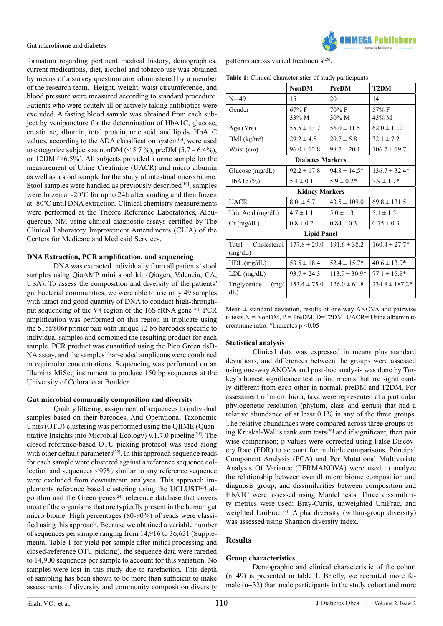formation regarding pertinent medical history, demographics, current medications, diet, alcohol and tobacco use was obtained by means of a survey questionnaire administered by a member of the research team. Height, weight, waist circumference, and blood pressure were measured according to standard procedure. Patients who were acutely ill or actively taking antibiotics were excluded. A fasting blood sample was obtained from each subject by venipuncture for the determination of HbA1C, glucose, creatinine, albumin, total protein, uric acid, and lipids. HbA1C values, according to the ADA classification system<sup>[\[3\]](#page-5-2)</sup>, were used to categorize subjects as nonDM ( $\leq 5.7\%$ ), preDM (5.7 – 6.4%), or T2DM (>6.5%). All subjects provided a urine sample for the measurement of Urine Creatinine (UACR) and micro albumin as well as a stool sample for the study of intestinal micro biome. Stool samples were handled as previously described $[19]$ ; samples were frozen at -20'C for up to 24h after voiding and then frozen at -80'C until DNA extraction. Clinical chemistry measurements were performed at the Tricore Reference Laboratories, Albuquerque, NM using clinical diagnostic assays certified by The Clinical Laboratory Improvement Amendments (CLIA) of the Centers for Medicare and Medicaid Services.

## **DNA Extraction, PCR amplification, and sequencing**

DNA was extracted individually from all patients' stool samples using QiaAMP mini stool kit (Qiagen, Valencia, CA, USA). To assess the composition and diversity of the patients' gut bacterial communities, we were able to use only 49 samples with intact and good quantity of DNA to conduct high-throughput sequencing of the V4 region of the 16S rRNA gene<sup>[20]</sup>. PCR amplification was performed on this region in triplicate using the 515f/806r primer pair with unique 12 bp barcodes specific to individual samples and combined the resulting product for each sample. PCR product was quantified using the Pico Green dsD-NA assay, and the samples' bar-coded amplicons were combined in equimolar concentrations. Sequencing was performed on an Illumina MiSeq instrument to produce 150 bp sequences at the University of Colorado at Boulder.

#### **Gut microbial community composition and diversity**

 Quality filtering, assignment of sequences to individual samples based on their barcodes, And Operational Taxonomic Units (OTU) clustering was performed using the QIIME (Quan-titative Insights into Microbial Ecology) v.1.7.0 pipeline<sup>[\[21\]](#page-5-17)</sup>. The closed reference-based OTU picking protocol was used along with other default parameters<sup>[22]</sup>. In this approach sequence reads for each sample were clustered against a reference sequence collection and sequences <97% similar to any reference sequence were excluded from downstream analyses. This approach im-plements reference based clustering using the UCLUST<sup>[\[23\]](#page-5-19)</sup> algorithm and the Green genes<sup>[24]</sup> reference database that covers most of the organisms that are typically present in the human gut micro biome. High percentages (80-90%) of reads were classified using this approach. Because we obtained a variable number of sequences per sample ranging from 14,916 to 36,631 (Supplemental Table 1 for yield per sample after initial processing and closed-reference OTU picking), the sequence data were rarefied to 14,900 sequences per sample to account for this variation. No samples were lost in this study due to rarefaction. This depth of sampling has been shown to be more than sufficient to make assessments of diversity and community composition diversity

patterns across varied treatments<sup>[25]</sup>.

| Table 1: Clinical characteristics of study participants |  |  |  |
|---------------------------------------------------------|--|--|--|
|---------------------------------------------------------|--|--|--|

|                                 | <b>NonDM</b>      | PreDM                     | T <sub>2</sub> DM  |  |  |
|---------------------------------|-------------------|---------------------------|--------------------|--|--|
| $N = 49$                        | 15                | 20                        | 14                 |  |  |
| Gender                          | $67\%$ F<br>33% M | $70\% \text{ F}$<br>30% M | 57% F<br>43% M     |  |  |
| Age (Yrs)                       | $55.5 \pm 13.7$   | $56.0 \pm 11.5$           | $62.0 \pm 10.0$    |  |  |
| BMI (kg/m <sup>2</sup> )        | $29.2 \pm 4.8$    | $29.7 \pm 5.8$            | $32.1 \pm 7.2$     |  |  |
| Waist (cm)                      | $96.0 \pm 12.8$   | $98.7 \pm 20.1$           | $106.7 \pm 19.7$   |  |  |
| <b>Diabetes Markers</b>         |                   |                           |                    |  |  |
| Glucose $(mg/dL)$               | $92.2 \pm 17.8$   | $94.8 \pm 14.5^*$         | $136.7 \pm 32.4*$  |  |  |
| HbA1c $(\%)$                    | $5.4 \pm 0.1$     | $5.9 \pm 0.2*$            | $7.9 \pm 1.7*$     |  |  |
| <b>Kidney Markers</b>           |                   |                           |                    |  |  |
| <b>UACR</b>                     | $8.0 \pm 5.7$     | $43.5 \pm 109.0$          | $69.8 \pm 131.5$   |  |  |
| Uric Acid (mg/dL)               | $4.7 \pm 1.1$     | $5.0 \pm 1.3$             | $5.1 \pm 1.5$      |  |  |
| $Cr$ (mg/dL)                    | $0.8 \pm 0.2$     | $0.84 \pm 0.3$            | $0.75 \pm 0.3$     |  |  |
| <b>Lipid Panel</b>              |                   |                           |                    |  |  |
| Cholesterol<br>Total<br>(mg/dL) | $177.8 \pm 29.0$  | $191.6 \pm 38.2$          | $160.4 \pm 27.7*$  |  |  |
| $HDL$ (mg/dL)                   | $53.5 \pm 18.4$   | $52.4 \pm 15.7*$          | $40.6 \pm 13.9*$   |  |  |
| $LDL$ (mg/dL)                   | $93.7 \pm 24.3$   | $113.9 \pm 30.9*$         | $77.1 \pm 15.8^*$  |  |  |
| Triglyceride<br>(mg)<br>dL)     | $153.4 \pm 75.0$  | $126.0 \pm 61.8$          | $234.8 \pm 187.2*$ |  |  |

Mean  $\pm$  standard deviation, results of one-way ANOVA and pairwise t- tests. $N = \text{NonDM}$ ,  $P = \text{PreDM}$ ,  $D = \text{T2DM}$ . UACR= Urine albumin to creatinine ratio. \*Indicates p <0.05

## **Statistical analysis**

Clinical data was expressed in means plus standard deviations, and differences between the groups were assessed using one-way ANOVA and post-hoc analysis was done by Turkey's honest significance test to find means that are significantly different from each other in normal, preDM and T2DM. For assessment of micro biota, taxa were represented at a particular phylogenetic resolution (phylum, class and genus) that had a relative abundance of at least 0.1% in any of the three groups. The relative abundances were compared across three groups using Kruskal-Wallis rank sum tests<sup>[26]</sup> and if significant, then pair wise comparison; p values were corrected using False Discovery Rate (FDR) to account for multiple comparisons. Principal Component Analysis (PCA) and Per Mutational Multivariate Analysis Of Variance (PERMANOVA) were used to analyze the relationship between overall micro biome composition and diagnosis group, and dissimilarities between composition and HbA1C were assessed using Mantel tests. Three dissimilarity metrics were used: Bray-Curtis, unweighted UniFrac, and weighted UniFrac<sup>[27]</sup>. Alpha diversity (within-group diversity) was assessed using Shannon diversity index.

## **Results**

## **Group characteristics**

Demographic and clinical characteristic of the cohort (n=49) is presented in table 1. Briefly, we recruited more female (n=32) than male participants in the study cohort and more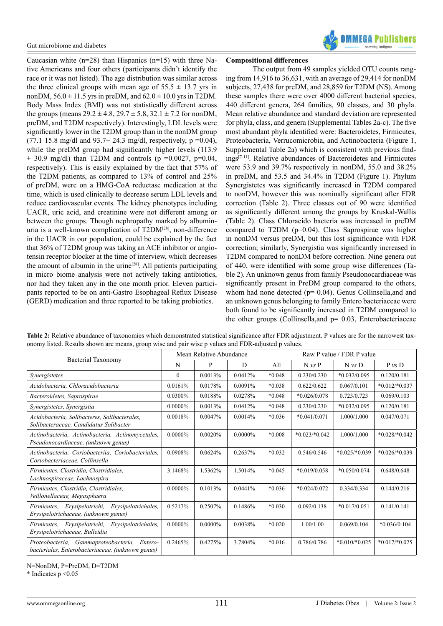Caucasian white  $(n=28)$  than Hispanics  $(n=15)$  with three Native Americans and four others (participants didn't identify the race or it was not listed). The age distribution was similar across the three clinical groups with mean age of  $55.5 \pm 13.7$  yrs in nonDM,  $56.0 \pm 11.5$  yrs in preDM, and  $62.0 \pm 10.0$  yrs in T2DM. Body Mass Index (BMI) was not statistically different across the groups (means  $29.2 \pm 4.8$ ,  $29.7 \pm 5.8$ ,  $32.1 \pm 7.2$  for nonDM, preDM, and T2DM respectively). Interestingly, LDL levels were significantly lower in the T2DM group than in the nonDM group (77.1 15.8 mg/dl and  $93.7 \pm 24.3$  mg/dl, respectively, p =0.04), while the preDM group had significantly higher levels (113.9)  $\pm$  30.9 mg/dl) than T2DM and controls (p =0.0027, p=0.04, respectively). This is easily explained by the fact that 57% of the T2DM patients, as compared to 13% of control and 25% of preDM, were on a HMG-CoA reductase medication at the time, which is used clinically to decrease serum LDL levels and reduce cardiovascular events. The kidney phenotypes including UACR, uric acid, and creatinine were not different among or between the groups. Though nephropathy marked by albuminuria is a well-known complication of T2DM[\[28\]](#page-5-24), non-difference in the UACR in our population, could be explained by the fact that 36% of T2DM group was taking an ACE inhibitor or angiotensin receptor blocker at the time of interview, which decreases the amount of albumin in the urine<sup>[28]</sup>. All patients participating in micro biome analysis were not actively taking antibiotics, nor had they taken any in the one month prior. Eleven participants reported to be on anti-Gastro Esophageal Reflux Disease (GERD) medication and three reported to be taking probiotics.



#### **Compositional differences**

The output from 49 samples yielded OTU counts ranging from 14,916 to 36,631, with an average of 29,414 for nonDM subjects, 27,438 for preDM, and 28,859 for T2DM (NS). Among these samples there were over 4000 different bacterial species, 440 different genera, 264 families, 90 classes, and 30 phyla. Mean relative abundance and standard deviation are represented for phyla, class, and genera (Supplemental Tables 2a-c). The five most abundant phyla identified were: Bacteroidetes, Firmicutes, Proteobacteria, Verrucomicrobia, and Actinobacteria (Figure 1, Supplemental Table 2a) which is consistent with previous finding[s\[7-11\].](#page-5-8) Relative abundances of Bacteroidetes and Firmicutes were 53.9 and 39.7% respectively in nonDM, 55.0 and 38.2% in preDM, and 53.5 and 34.4% in T2DM (Figure 1). Phylum Synergistetes was significantly increased in T2DM compared to nonDM, however this was nominally significant after FDR correction (Table 2). Three classes out of 90 were identified as significantly different among the groups by Kruskal-Wallis (Table 2). Class Chloracido bacteria was increased in preDM compared to T2DM (p=0.04). Class Saprospirae was higher in nonDM versus preDM, but this lost significance with FDR correction; similarly, Synergistia was significantly increased in T2DM compared to nonDM before correction. Nine genera out of 440, were identified with some group wise differences (Table 2). An unknown genus from family Pseudonocardiaceae was significantly present in PreDM group compared to the others, whom had none detected ( $p= 0.04$ ). Genus Collinsella, and and an unknown genus belonging to family Entero bacteriaceae were both found to be significantly increased in T2DM compared to the other groups (Collinsella, and  $p= 0.03$ , Enterobacteriaceae

| Table 2: Relative abundance of taxonomies which demonstrated statistical significance after FDR adjustment. P values are for the narrowest tax- |
|-------------------------------------------------------------------------------------------------------------------------------------------------|
| onomy listed. Results shown are means, group wise and pair wise p values and FDR-adjusted p values.                                             |

| Bacterial Taxonomy                                                                               | Mean Relative Abundance |            |            | Raw P value / FDR P value |                 |                 |                 |
|--------------------------------------------------------------------------------------------------|-------------------------|------------|------------|---------------------------|-----------------|-----------------|-----------------|
|                                                                                                  | N                       | P          | D          | All                       | $N \nu s$ P     | $N \nu s$ D     | P vs D          |
| Synergistetes                                                                                    | $\theta$                | 0.0013%    | 0.0412%    | $*0.048$                  | 0.230/0.230     | $*0.032/0.095$  | 0.120/0.181     |
| Acidobacteria, Chloracidobacteria                                                                | 0.0161%                 | 0.0178%    | 0.0091%    | $*0.038$                  | 0.622/0.622     | 0.067/0.101     | $*0.012/*0.037$ |
| Bacteroidetes, Saprospirae                                                                       | 0.0300%                 | 0.0188%    | 0.0278%    | $*0.048$                  | $*0.026/0.078$  | 0.723/0.723     | 0.069/0.103     |
| Synergistetes, Synergistia                                                                       | $0.0000\%$              | 0.0013%    | 0.0412%    | $*0.048$                  | 0.230/0.230     | $*0.032/0.095$  | 0.120/0.181     |
| Acidobacteria, Solibacteres, Solibacterales,<br>Solibacteraceae, Candidatus Solibacter           | 0.0018%                 | 0.0047%    | 0.0014%    | $*0.036$                  | $*0.041/0.071$  | 1.000/1.000     | 0.047/0.071     |
| Actinobacteria, Actinobacteria, Actinomycetales,<br>Pseudonocardiaceae, (unknown genus)          | 0.0000%                 | 0.0020%    | $0.0000\%$ | $*0.008$                  | $*0.023/*0.042$ | 1.000/1.000     | $*0.028/*0.042$ |
| Actinobacteria, Coriobacteriia, Coriobacteriales,<br>Coriobacteriaceae. Collinsella              | 0.0908%                 | 0.0624%    | 0.2637%    | $*0.032$                  | 0.546/0.546     | $*0.025/*0.039$ | $*0.026/*0.039$ |
| Firmicutes, Clostridia, Clostridiales,<br>Lachnospiraceae, Lachnospira                           | 3.1468%                 | 1.5362%    | 1.5014%    | $*0.045$                  | $*0.019/0.058$  | $*0.050/0.074$  | 0.648/0.648     |
| Firmicutes, Clostridia, Clostridiales,<br>Veillonellaceae, Megasphaera                           | $0.0000\%$              | 0.1013%    | 0.0441%    | $*0.036$                  | $*0.024/0.072$  | 0.334/0.334     | 0.144/0.216     |
| Firmicutes, Erysipelotrichi, Erysipelotrichales,<br>Erysipelotrichaceae, (unknown genus)         | 0.5217%                 | 0.2507%    | 0.1486%    | $*0.030$                  | 0.092/0.138     | $*0.017/0.051$  | 0.141/0.141     |
| Firmicutes, Erysipelotrichi, Erysipelotrichales,<br>Erysipelotrichaceae, Bulleidia               | 0.0000%                 | $0.0000\%$ | 0.0038%    | $*0.020$                  | 1.00/1.00       | 0.069/0.104     | $*0.036/0.104$  |
| Proteobacteria, Gammaproteobacteria, Entero-<br>bacteriales, Enterobacteriaceae, (unknown genus) | 0.2465%                 | 0.4275%    | 3.7804%    | $*0.016$                  | 0.786/0.786     | $*0.010/*0.025$ | $*0.017/*0.025$ |

N=NonDM, P=PreDM, D=T2DM

\* Indicates p <0.05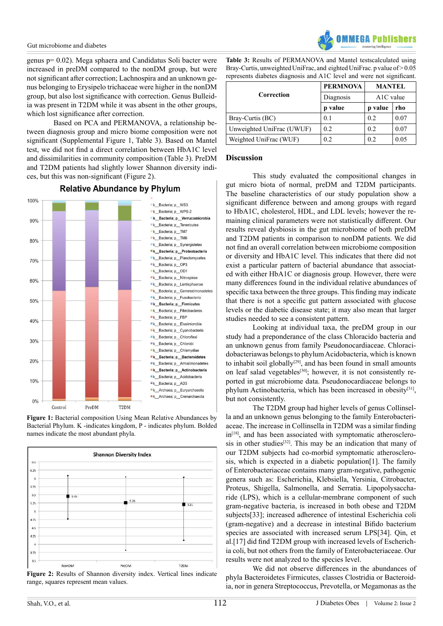genus p= 0.02). Mega sphaera and Candidatus Soli bacter were increased in preDM compared to the nonDM group, but were not significant after correction; Lachnospira and an unknown genus belonging to Erysipelo trichaceae were higher in the nonDM group, but also lost significance with correction. Genus Bulleidia was present in T2DM while it was absent in the other groups, which lost significance after correction.

Based on PCA and PERMANOVA, a relationship between diagnosis group and micro biome composition were not significant (Supplemental Figure 1, Table 3). Based on Mantel test, we did not find a direct correlation between HbA1C level and dissimilarities in community composition (Table 3). PreDM and T2DM patients had slightly lower Shannon diversity indices, but this was non-significant (Figure 2).

100% k Bacteria: p WS3 k Bacteria; p WPS-2 k Bacteria; p Verrucomicrobia  $90%$ k Bacteria; p Tenericutes k\_Bacteria; p\_TM7 k Bacteria; p TM6 80% k\_Bacteria; p\_Synergistetes k Bacteria; p Proteobacteria **Ek** Bacteria: p Planctomycetes 70% k\_Bacteria; p\_OP3 K\_Bacteria; p\_OD1 K\_Bacteria; p\_Nitrospirae  $60%$ k\_Bacteria; p\_Lentisphaerae k Bacteria; p Gemmatimonadetes K Bacteria; p Fusobacteria 50% K\_Bacteria; p\_Firmicutes K\_Bacteria; p\_Fibrobacteres "k Bacteria; p FBP 40% k Bacteria; p Elusimicrobia k Bacteria; p Cyanobacteria K Bacteria; p Chloroflexi  $30%$ k\_Bacteria; p\_Chlorobi K Bacteria; p Chlamydiae K\_Bacteria; p\_Bacteroidetes 20% k\_Bacteria; p\_Armatimonadetes "k Bacteria; p Actinobacteria K\_Bacteria; p\_Acidobacteria  $10%$ k\_Bacteria; p\_AD3 k\_Archaea; p\_Euryarchaeota k Archaea: p Crenarchaeota  $0%$ PreDM T<sub>2</sub>DM Control

## **Relative Abundance by Phylum**





**Figure 2:** Results of Shannon diversity index. Vertical lines indicate range, squares represent mean values.



**Table 3:** Results of PERMANOVA and Mantel testscalculated using Bray-Curtis, unweighted UniFrac, and eighted UniFrac. p value of > 0.05 represents diabetes diagnosis and A1C level and were not significant.

| Correction                | <b>PERMNOVA</b> | <b>MANTEL</b> |      |  |
|---------------------------|-----------------|---------------|------|--|
|                           | Diagnosis       | $A1C$ value   |      |  |
|                           | p value         | p value       | rho  |  |
| Bray-Curtis (BC)          | 0.1             | 0.2           | 0.07 |  |
| Unweighted UniFrac (UWUF) | 0.2             | 0.2           | 0.07 |  |
| Weighted UniFrac (WUF)    | 0.2             | 0.2           | 0.05 |  |

## **Discussion**

This study evaluated the compositional changes in gut micro biota of normal, preDM and T2DM participants. The baseline characteristics of our study population show a significant difference between and among groups with regard to HbA1C, cholesterol, HDL, and LDL levels; however the remaining clinical parameters were not statistically different. Our results reveal dysbiosis in the gut microbiome of both preDM and T2DM patients in comparison to nonDM patients. We did not find an overall correlation between microbiome composition or diversity and HbA1C level. This indicates that there did not exist a particular pattern of bacterial abundance that associated with either HbA1C or diagnosis group. However, there were many differences found in the individual relative abundances of specific taxa between the three groups. This finding may indicate that there is not a specific gut pattern associated with glucose levels or the diabetic disease state; it may also mean that larger studies needed to see a consistent pattern.

Looking at individual taxa, the preDM group in our study had a preponderance of the class Chloracido bacteria and an unknown genus from family Pseudonocardiaceae. Chloracidobacteriawas belongs to phylum Acidobacteria, which is known to inhabit soil globally<sup>[\[29\]](#page-5-25)</sup>, and has been found in small amounts on leaf salad vegetables<sup>[30]</sup>; however, it is not consistently reported in gut microbiome data. Pseudonocardiaceae belongs to phylum Actinobacteria, which has been increased in obesit[y\[31\],](#page-6-0) but not consistently.

The T2DM group had higher levels of genus Collinsella and an unknown genus belonging to the family Enterobacteriaceae. The increase in Collinsella in T2DM was a similar finding in<sup>[18]</sup>, and has been associated with symptomatic atherosclero-sis in other studies<sup>[\[32\]](#page-6-1)</sup>. This may be an indication that many of our T2DM subjects had co-morbid symptomatic atherosclerosis, which is expected in a diabetic population[1]. The family of Enterobacteriaceae contains many gram-negative, pathogenic genera such as: Escherichia, Klebsiella, Yersinia, Citrobacter, Proteus, Shigella, Salmonella, and Serratia. Lipopolysaccharide (LPS), which is a cellular-membrane component of such gram-negative bacteria, is increased in both obese and T2DM subjects[33]; increased adherence of intestinal Escherichia coli (gram-negative) and a decrease in intestinal Bifido bacterium species are associated with increased serum LPS[34]. Qin, et al.[17] did find T2DM group with increased levels of Escherichia coli, but not others from the family of Enterobacteriaceae. Our results were not analyzed to the species level.

 We did not observe differences in the abundances of phyla Bacteroidetes Firmicutes, classes Clostridia or Bacteroidia, nor in genera Streptococcus, Prevotella, or Megamonas as the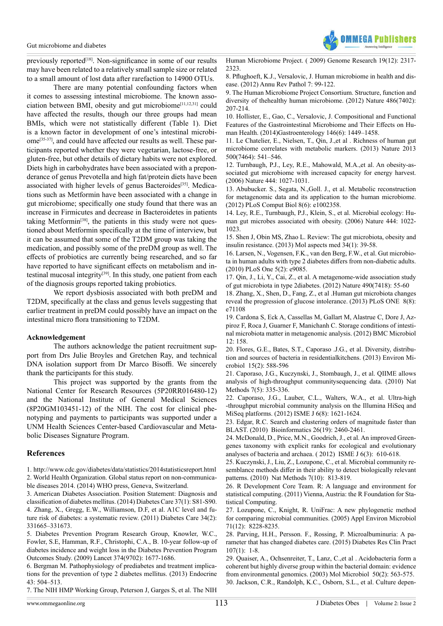

previously reported<sup>[\[18\]](#page-5-14)</sup>. Non-significance in some of our results may have been related to a relatively small sample size or related to a small amount of lost data after rarefaction to 14900 OTUs.

There are many potential confounding factors when it comes to assessing intestinal microbiome. The known association between BMI, obesity and gut microbiome<sup>[11,12,31]</sup> could have affected the results, though our three groups had mean BMIs, which were not statistically different (Table 1). Diet is a known factor in development of one's intestinal microbiome<sup>[35-37]</sup>, and could have affected our results as well. These participants reported whether they were vegetarian, lactose-free, or gluten-free, but other details of dietary habits were not explored. Diets high in carbohydrates have been associated with a preponderance of genus Prevotella and high fat/protein diets have been associated with higher levels of genus Bacteroides<sup>[\[35\]](#page-6-2)</sup>. Medications such as Metformin have been associated with a change in gut microbiome; specifically one study found that there was an increase in Firmicutes and decrease in Bacteroidetes in patients taking Metformin<sup>[38]</sup>, the patients in this study were not questioned about Metformin specifically at the time of interview, but it can be assumed that some of the T2DM group was taking the medication, and possibly some of the preDM group as well. The effects of probiotics are currently being researched, and so far have reported to have significant effects on metabolism and intestinal mucosal integrity<sup>[39]</sup>. In this study, one patient from each of the diagnosis groups reported taking probiotics.

We report dysbiosis associated with both preDM and T2DM, specifically at the class and genus levels suggesting that earlier treatment in preDM could possibly have an impact on the intestinal micro flora transitioning to T2DM.

#### **Acknowledgement**

The authors acknowledge the patient recruitment support from Drs Julie Broyles and Gretchen Ray, and technical DNA isolation support from Dr Marco Bisoffi. We sincerely thank the participants for this study.

This project was supported by the grants from the National Center for Research Resources (5P20RR016480-12) and the National Institute of General Medical Sciences (8P20GM103451-12) of the NIH. The cost for clinical phenotyping and payments to participants was supported under a UNM Health Sciences Center-based Cardiovascular and Metabolic Diseases Signature Program.

## **References**

<span id="page-5-1"></span><span id="page-5-0"></span>1. <http://www.cdc.gov/diabetes/data/statistics/2014statisticsreport.html> [2. World Health Organization. Global status report on non-communica](http://www.who.int/nmh/publications/ncd-status-report-2014/en/)[ble diseases 2014. \(2014\) WHO press, Geneva, Switzerland.](http://www.who.int/nmh/publications/ncd-status-report-2014/en/) 

<span id="page-5-3"></span><span id="page-5-2"></span>3. American Diabetes [Association.](http://www.ncbi.nlm.nih.gov/pubmed/24357215) Position Statement: Diagnosis and [classification](http://www.ncbi.nlm.nih.gov/pubmed/24357215) of diabetes mellitus. (2014) Diabetes Care 37(1): S81-S90. [4. Zhang, X., Gregg, E.W., Williamson, D.F, et al. A1C level and fu](http://www.ncbi.nlm.nih.gov/pubmed/21270178)ture risk of diabetes: a [systematic](http://www.ncbi.nlm.nih.gov/pubmed/21270178) review. (2011) Diabetes Care 34(2): [331665–331673.](http://www.ncbi.nlm.nih.gov/pubmed/21270178)

<span id="page-5-4"></span>[5. Diabetes Prevention Program Research Group, Knowler, W.C.,](http://www.ncbi.nlm.nih.gov/pubmed/19878986)  [Fowler, S.E, Hamman, R.F., Christophi, C.A., B. 10-year follow-up of](http://www.ncbi.nlm.nih.gov/pubmed/19878986)  [diabetes incidence and weight loss in the Diabetes Prevention Program](http://www.ncbi.nlm.nih.gov/pubmed/19878986)  Outcomes Study. (2009) Lancet 374(9702): [1677-1686.](http://www.ncbi.nlm.nih.gov/pubmed/19878986)

<span id="page-5-5"></span>[6. Bergman M. Pathophysiology of prediabetes and treatment implica](http://www.ncbi.nlm.nih.gov/pubmed/23132321)[tions for the prevention of type 2 diabetes mellitus. \(2013\) Endocrine](http://www.ncbi.nlm.nih.gov/pubmed/23132321)  43: [504–513.](http://www.ncbi.nlm.nih.gov/pubmed/23132321)

<span id="page-5-6"></span>[7. The NIH HMP Working Group, Peterson J, Garges S, et al. The NIH](http://www.ncbi.nlm.nih.gov/pmc/articles/PMC2792171/) 

Human [Microbiome](http://www.ncbi.nlm.nih.gov/pmc/articles/PMC2792171/) Project. ( 2009) Genome Research 19(12): 2317- [2323.](http://www.ncbi.nlm.nih.gov/pmc/articles/PMC2792171/) 

<span id="page-5-7"></span>8. Pflughoeft, K.J., Versalovic, J. Human [microbiome](http://www.ncbi.nlm.nih.gov/pubmed/21910623) in health and disease. (2012) Annu Rev Pathol 7: [99-122.](http://www.ncbi.nlm.nih.gov/pubmed/21910623)

<span id="page-5-9"></span>[9. The Human Microbiome Project Consortium. Structure, function and](http://www.ncbi.nlm.nih.gov/pubmed/22699609/) diversity of thehealthy human [microbiome.](http://www.ncbi.nlm.nih.gov/pubmed/22699609/) (2012) Nature 486(7402): [207-214.](http://www.ncbi.nlm.nih.gov/pubmed/22699609/)

[10. Hollister, E., Gao, C., Versalovic, J. Compositional and Functional](http://www.ncbi.nlm.nih.gov/pubmed/24486050) Features of the [Gastrointestinal](http://www.ncbi.nlm.nih.gov/pubmed/24486050) Microbiome and Their Effects on Human Health. [\(2014\)Gastroenterology](http://www.ncbi.nlm.nih.gov/pubmed/24486050) 146(6): 1449–1458.

<span id="page-5-8"></span>[11. Le Chatelier, E., Nielsen, T., Qin, J.,et al . Richness of human gut](http://www.ncbi.nlm.nih.gov/pubmed/23985870) [microbiome correlates with metabolic markers. \(2013\) Nature 2013](http://www.ncbi.nlm.nih.gov/pubmed/23985870) [500\(7464\):](http://www.ncbi.nlm.nih.gov/pubmed/23985870) 541–546.

<span id="page-5-10"></span>[12. Turnbaugh, P.J., Ley, R.E., Mahowald, M.A.,et al. An obesity-as](http://www.ncbi.nlm.nih.gov/pubmed/17183312)[sociated gut microbiome with increased capacity for energy harvest.](http://www.ncbi.nlm.nih.gov/pubmed/17183312) (2006) Nature 444: [1027-1031.](http://www.ncbi.nlm.nih.gov/pubmed/17183312)

[13. Abubucker. S., Segata, N.,Goll. J., et al. Metabolic reconstruction](http://www.ncbi.nlm.nih.gov/pubmed/22719234) [for metagenomic data and its application to the human microbiome.](http://www.ncbi.nlm.nih.gov/pubmed/22719234) (2012) PLoS Comput Biol 8(6): [e1002358.](http://www.ncbi.nlm.nih.gov/pubmed/22719234) 

<span id="page-5-11"></span>14. Ley, R.E., [Turnbaugh,](http://www.ncbi.nlm.nih.gov/pubmed/17183309) P.J., Klein, S., et al. Microbial ecology: Human gut microbes [associated](http://www.ncbi.nlm.nih.gov/pubmed/17183309) with obesity. (2006) Nature 444: 1022- [1023.](http://www.ncbi.nlm.nih.gov/pubmed/17183309) 

15. Shen J, Obin MS, Zhao L. Review: The gut [microbiota,](http://www.ncbi.nlm.nih.gov/pubmed/23159341) obesity and insulin [resistance.](http://www.ncbi.nlm.nih.gov/pubmed/23159341) (2013) Mol aspects med 34(1): 39-58.

<span id="page-5-12"></span>[16. Larsen, N., Vogensen, F.K., van den Berg, F.W., et al. Gut microbio](http://www.ncbi.nlm.nih.gov/pubmed/20140211)ta in human adults with type 2 diabetes differs from [non-diabetic](http://www.ncbi.nlm.nih.gov/pubmed/20140211) adults. (2010) PLoS One 5(2): [e9085.](http://www.ncbi.nlm.nih.gov/pubmed/20140211) 

<span id="page-5-13"></span>[17. Qin, J., Li, Y., Cai, Z., et al. A metagenome-wide association study](http://www.ncbi.nlm.nih.gov/pubmed/23023125) of gut microbiota in type 2diabetes. (2012) Nature [490\(7418\):](http://www.ncbi.nlm.nih.gov/pubmed/23023125) 55-60

<span id="page-5-14"></span>[18. Zhang, X., Shen, D., Fang, Z., et al .Human gut microbiota changes](http://www.ncbi.nlm.nih.gov/pubmed/24013136) reveal the progression of glucose [intolerance.](http://www.ncbi.nlm.nih.gov/pubmed/24013136) (2013) PLoS ONE 8(8): [e71108](http://www.ncbi.nlm.nih.gov/pubmed/24013136) 

<span id="page-5-15"></span>[19. Cardona S, Eck A, Cassellas M, Gallart M, Alastrue C, Dore J, Az](http://www.ncbi.nlm.nih.gov/pubmed/22846661)[piroz F, Roca J, Guarner F, Manichanh C. Storage conditions of intesti](http://www.ncbi.nlm.nih.gov/pubmed/22846661)[nal microbiota matter in metagenomic analysis. \(2012\) BMC Microbiol](http://www.ncbi.nlm.nih.gov/pubmed/22846661) 12: [158.](http://www.ncbi.nlm.nih.gov/pubmed/22846661) 

<span id="page-5-16"></span>[20. Flores, G.E., Bates, S.T., Caporaso .J.G., et al. Diversity, distribu](http://www.ncbi.nlm.nih.gov/pubmed/23171378)[tion and sources of bacteria in residentialkitchens. \(2013\) Environ Mi](http://www.ncbi.nlm.nih.gov/pubmed/23171378)[crobiol 15\(2\):](http://www.ncbi.nlm.nih.gov/pubmed/23171378) 588-596

<span id="page-5-17"></span>[21. Caporaso, J.G., Kuczynski, J., Stombaugh, J., et al. QIIME allows](http://www.ncbi.nlm.nih.gov/pubmed/20383131) [analysis of high-throughput communitysequencing data. \(2010\) Nat](http://www.ncbi.nlm.nih.gov/pubmed/20383131) Methods 7(5): [335-336.](http://www.ncbi.nlm.nih.gov/pubmed/20383131)

<span id="page-5-18"></span>[22. Caporaso, J.G., Lauber, C.L., Walters, W.A., et al. Ultra-high](http://www.ncbi.nlm.nih.gov/pubmed/22402401) [-throughput microbial community analysis on the Illumina HiSeq and](http://www.ncbi.nlm.nih.gov/pubmed/22402401) MiSeq platforms. (2012) ISME J 6(8): [1621-1624.](http://www.ncbi.nlm.nih.gov/pubmed/22402401)

<span id="page-5-19"></span>[23. Edgar, R.C. Search and clustering orders of magnitude faster than](http://www.ncbi.nlm.nih.gov/pubmed/20709691) BLAST. [\(2010\) Bioinformatics](http://www.ncbi.nlm.nih.gov/pubmed/20709691) 26(19): 2460-2461.

<span id="page-5-20"></span>[24. McDonald, D., Price, M.N., Goodrich, J., et al. An improved Green](http://www.ncbi.nlm.nih.gov/pmc/articles/PMC3280142/)[genes taxonomy with explicit ranks for ecological and evolutionary](http://www.ncbi.nlm.nih.gov/pmc/articles/PMC3280142/) analyses of bacteria and archaea. ( 2012) ISME J [6\(3\): 610-618.](http://www.ncbi.nlm.nih.gov/pmc/articles/PMC3280142/)

<span id="page-5-21"></span>[25. Kuczynski, J., Liu, Z., Lozupone, C., et al. Microbial community re](http://www.ncbi.nlm.nih.gov/pubmed/20818378)semblance methods differ in their ability to detect [biologically](http://www.ncbi.nlm.nih.gov/pubmed/20818378) relevant patterns. (2010) Nat Methods [7\(10\): 813-819.](http://www.ncbi.nlm.nih.gov/pubmed/20818378)

<span id="page-5-22"></span>26. R [Development](https://www.r-project.org/) Core Team. R: A language and environment for statistical computing. (2011) Vienna, Austria: the R [Foundation](https://www.r-project.org/) for Sta[tistical Computing.](https://www.r-project.org/) 

<span id="page-5-23"></span>27. Lozupone, C., Knight, R. UniFrac: A new [phylogenetic](http://www.ncbi.nlm.nih.gov/pubmed/16332807) method [for comparing microbial communities. \(2005\) Appl Environ Microbiol](http://www.ncbi.nlm.nih.gov/pubmed/16332807) [71\(12\): 8228-8235.](http://www.ncbi.nlm.nih.gov/pubmed/16332807)

<span id="page-5-24"></span>28. Parving, H.H., Persson. F., Rossing, P. [Microalbuminuria:](http://www.ncbi.nlm.nih.gov/pubmed/25467616) A pa[rameter that has changed diabetes care. \(2015\) Diabetes Res Clin Pract](http://www.ncbi.nlm.nih.gov/pubmed/25467616) [107\(1\): 1-8.](http://www.ncbi.nlm.nih.gov/pubmed/25467616)

<span id="page-5-26"></span><span id="page-5-25"></span>[29. Quaiser, A., Ochsenreiter, T., Lanz, C.,et al . Acidobacteria form a](http://www.ncbi.nlm.nih.gov/pubmed/14617179) coherent but highly diverse group within the bacterial domain: [evidence](http://www.ncbi.nlm.nih.gov/pubmed/14617179) from environmental genomics. (2003) Mol [Microbiol 50\(2\):](http://www.ncbi.nlm.nih.gov/pubmed/14617179) 563-575. [30. Jackson, C.R., Randolph, K.C., Osborn, S.L., et al. Culture depen-](http://www.ncbi.nlm.nih.gov/pubmed/24289725)